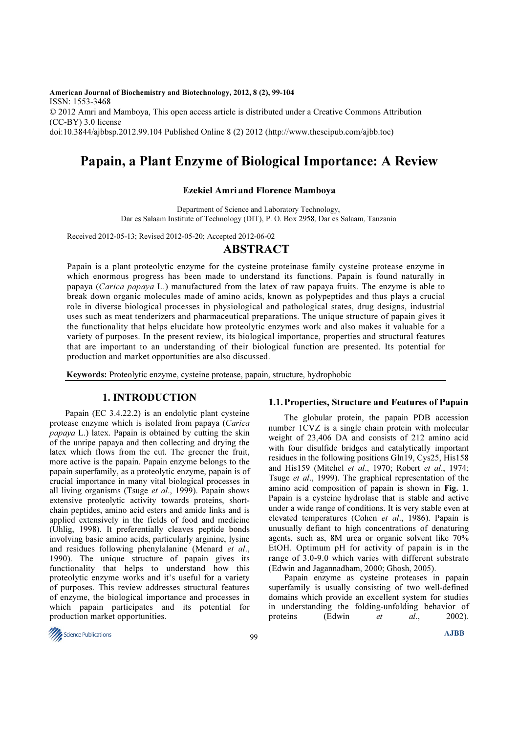American Journal of Biochemistry and Biotechnology, 2012, 8 (2), 99-104 ISSN: 1553-3468 © 2012 Amri and Mamboya, This open access article is distributed under a Creative Commons Attribution (CC-BY) 3.0 license doi:10.3844/ajbbsp.2012.99.104 Published Online 8 (2) 2012 (http://www.thescipub.com/ajbb.toc)

# Papain, a Plant Enzyme of Biological Importance: A Review

## Ezekiel Amri and Florence Mamboya

Department of Science and Laboratory Technology, Dar es Salaam Institute of Technology (DIT), P. O. Box 2958, Dar es Salaam, Tanzania

Received 2012-05-13; Revised 2012-05-20; Accepted 2012-06-02

## ABSTRACT

Papain is a plant proteolytic enzyme for the cysteine proteinase family cysteine protease enzyme in which enormous progress has been made to understand its functions. Papain is found naturally in papaya (Carica papaya L.) manufactured from the latex of raw papaya fruits. The enzyme is able to break down organic molecules made of amino acids, known as polypeptides and thus plays a crucial role in diverse biological processes in physiological and pathological states, drug designs, industrial uses such as meat tenderizers and pharmaceutical preparations. The unique structure of papain gives it the functionality that helps elucidate how proteolytic enzymes work and also makes it valuable for a variety of purposes. In the present review, its biological importance, properties and structural features that are important to an understanding of their biological function are presented. Its potential for production and market opportunities are also discussed.

Keywords: Proteolytic enzyme, cysteine protease, papain, structure, hydrophobic

## 1. INTRODUCTION

 Papain (EC 3.4.22.2) is an endolytic plant cysteine protease enzyme which is isolated from papaya (Carica papaya L.) latex. Papain is obtained by cutting the skin of the unripe papaya and then collecting and drying the latex which flows from the cut. The greener the fruit, more active is the papain. Papain enzyme belongs to the papain superfamily, as a proteolytic enzyme, papain is of crucial importance in many vital biological processes in all living organisms (Tsuge et al., 1999). Papain shows extensive proteolytic activity towards proteins, shortchain peptides, amino acid esters and amide links and is applied extensively in the fields of food and medicine (Uhlig, 1998). It preferentially cleaves peptide bonds involving basic amino acids, particularly arginine, lysine and residues following phenylalanine (Menard et al., 1990). The unique structure of papain gives its functionality that helps to understand how this proteolytic enzyme works and it's useful for a variety of purposes. This review addresses structural features of enzyme, the biological importance and processes in which papain participates and its potential for production market opportunities.

#### 1.1.Properties, Structure and Features of Papain

 The globular protein, the papain PDB accession number 1CVZ is a single chain protein with molecular weight of 23,406 DA and consists of 212 amino acid with four disulfide bridges and catalytically important residues in the following positions Gln19, Cys25, His158 and His159 (Mitchel et al., 1970; Robert et al., 1974; Tsuge et al., 1999). The graphical representation of the amino acid composition of papain is shown in Fig. 1. Papain is a cysteine hydrolase that is stable and active under a wide range of conditions. It is very stable even at elevated temperatures (Cohen et al., 1986). Papain is unusually defiant to high concentrations of denaturing agents, such as, 8M urea or organic solvent like 70% EtOH. Optimum pH for activity of papain is in the range of 3.0-9.0 which varies with different substrate (Edwin and Jagannadham, 2000; Ghosh, 2005).

 Papain enzyme as cysteine proteases in papain superfamily is usually consisting of two well-defined domains which provide an excellent system for studies in understanding the folding-unfolding behavior of proteins (Edwin *et al.*, 2002).

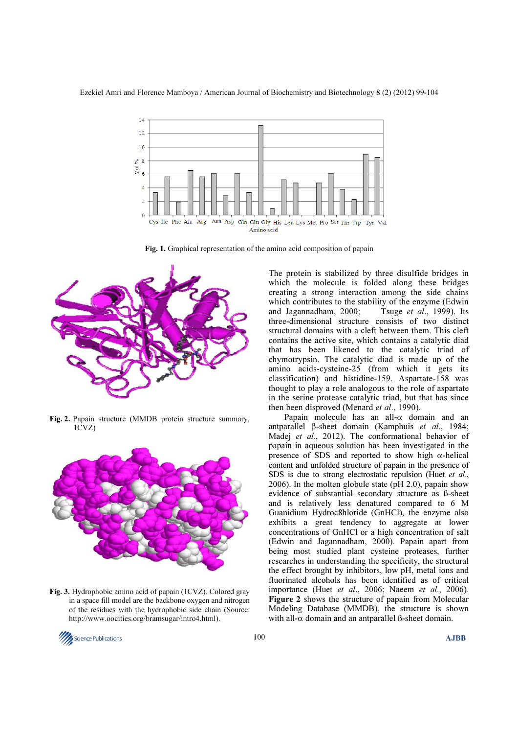

Fig. 1. Graphical representation of the amino acid composition of papain



Fig. 2. Papain structure (MMDB protein structure summary, 1CVZ)



Fig. 3. Hydrophobic amino acid of papain (1CVZ). Colored gray in a space fill model are the backbone oxygen and nitrogen of the residues with the hydrophobic side chain (Source: http://www.oocities.org/bramsugar/intro4.html).

The protein is stabilized by three disulfide bridges in which the molecule is folded along these bridges creating a strong interaction among the side chains which contributes to the stability of the enzyme (Edwin and Jagannadham, 2000; Tsuge *et al.*, 1999). Its and Jagannadham, 2000; three-dimensional structure consists of two distinct structural domains with a cleft between them. This cleft contains the active site, which contains a catalytic diad that has been likened to the catalytic triad of chymotrypsin. The catalytic diad is made up of the amino acids-cysteine-25 (from which it gets its classification) and histidine-159. Aspartate-158 was thought to play a role analogous to the role of aspartate in the serine protease catalytic triad, but that has since then been disproved (Menard et al., 1990).

 Papain molecule has an all-α domain and an antparallel β-sheet domain (Kamphuis et al., 1984; Madej et al., 2012). The conformational behavior of papain in aqueous solution has been investigated in the presence of SDS and reported to show high  $\alpha$ -helical content and unfolded structure of papain in the presence of SDS is due to strong electrostatic repulsion (Huet et al., 2006). In the molten globule state (pH 2.0), papain show evidence of substantial secondary structure as ß-sheet and is relatively less denatured compared to 6 M Guanidium Hydroc8hloride (GnHCl), the enzyme also exhibits a great tendency to aggregate at lower concentrations of GnHCl or a high concentration of salt (Edwin and Jagannadham, 2000). Papain apart from being most studied plant cysteine proteases, further researches in understanding the specificity, the structural the effect brought by inhibitors, low pH, metal ions and fluorinated alcohols has been identified as of critical importance (Huet et al., 2006; Naeem et al., 2006). Figure 2 shows the structure of papain from Molecular Modeling Database (MMDB), the structure is shown with all- $\alpha$  domain and an antparallel ß-sheet domain.

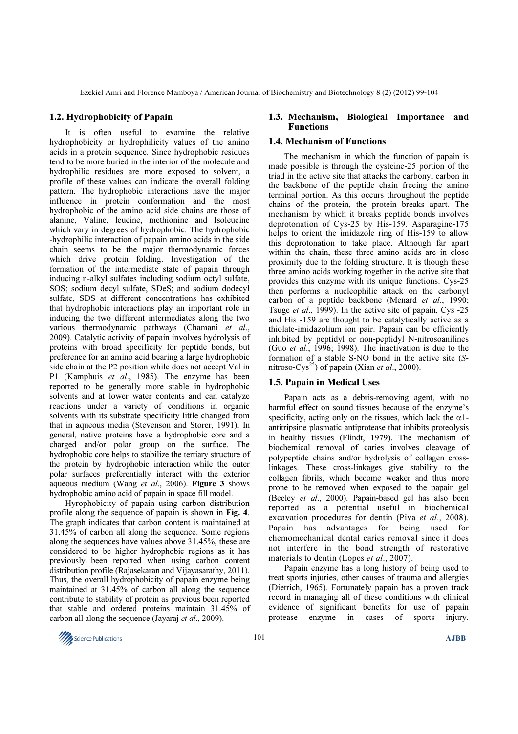#### 1.2. Hydrophobicity of Papain

 It is often useful to examine the relative hydrophobicity or hydrophilicity values of the amino acids in a protein sequence. Since hydrophobic residues tend to be more buried in the interior of the molecule and hydrophilic residues are more exposed to solvent, a profile of these values can indicate the overall folding pattern. The hydrophobic interactions have the major influence in protein conformation and the most hydrophobic of the amino acid side chains are those of alanine, Valine, leucine, methionine and Isoleucine which vary in degrees of hydrophobic. The hydrophobic -hydrophilic interaction of papain amino acids in the side chain seems to be the major thermodynamic forces which drive protein folding. Investigation of the formation of the intermediate state of papain through inducing n-alkyl sulfates including sodium octyl sulfate, SOS; sodium decyl sulfate, SDeS; and sodium dodecyl sulfate, SDS at different concentrations has exhibited that hydrophobic interactions play an important role in inducing the two different intermediates along the two various thermodynamic pathways (Chamani et al., 2009). Catalytic activity of papain involves hydrolysis of proteins with broad specificity for peptide bonds, but preference for an amino acid bearing a large hydrophobic side chain at the P2 position while does not accept Val in P1 (Kamphuis et al., 1985). The enzyme has been reported to be generally more stable in hydrophobic solvents and at lower water contents and can catalyze reactions under a variety of conditions in organic solvents with its substrate specificity little changed from that in aqueous media (Stevenson and Storer, 1991). In general, native proteins have a hydrophobic core and a charged and/or polar group on the surface. The hydrophobic core helps to stabilize the tertiary structure of the protein by hydrophobic interaction while the outer polar surfaces preferentially interact with the exterior aqueous medium (Wang et al., 2006). Figure 3 shows hydrophobic amino acid of papain in space fill model.

 Hyrophobicity of papain using carbon distribution profile along the sequence of papain is shown in Fig. 4. The graph indicates that carbon content is maintained at 31.45% of carbon all along the sequence. Some regions along the sequences have values above 31.45%, these are considered to be higher hydrophobic regions as it has previously been reported when using carbon content distribution profile (Rajasekaran and Vijayasarathy, 2011). Thus, the overall hydrophobicity of papain enzyme being maintained at 31.45% of carbon all along the sequence contribute to stability of protein as previous been reported that stable and ordered proteins maintain 31.45% of carbon all along the sequence (Jayaraj et al., 2009).

#### 1.3. Mechanism, Biological Importance and Functions

#### 1.4. Mechanism of Functions

 The mechanism in which the function of papain is made possible is through the cysteine-25 portion of the triad in the active site that attacks the carbonyl carbon in the backbone of the peptide chain freeing the amino terminal portion. As this occurs throughout the peptide chains of the protein, the protein breaks apart. The mechanism by which it breaks peptide bonds involves deprotonation of Cys-25 by His-159. Asparagine-175 helps to orient the imidazole ring of His-159 to allow this deprotonation to take place. Although far apart within the chain, these three amino acids are in close proximity due to the folding structure. It is though these three amino acids working together in the active site that provides this enzyme with its unique functions. Cys-25 then performs a nucleophilic attack on the carbonyl carbon of a peptide backbone (Menard et al., 1990; Tsuge et al., 1999). In the active site of papain, Cys -25 and His -159 are thought to be catalytically active as a thiolate-imidazolium ion pair. Papain can be efficiently inhibited by peptidyl or non-peptidyl N-nitrosoanilines (Guo et al., 1996; 1998). The inactivation is due to the formation of a stable S-NO bond in the active site (Snitroso-Cys<sup>25</sup>) of papain (Xian *et al.*, 2000).

## 1.5. Papain in Medical Uses

 Papain acts as a debris-removing agent, with no harmful effect on sound tissues because of the enzyme's specificity, acting only on the tissues, which lack the  $\alpha$ 1antitripsine plasmatic antiprotease that inhibits proteolysis in healthy tissues (Flindt, 1979). The mechanism of biochemical removal of caries involves cleavage of polypeptide chains and/or hydrolysis of collagen crosslinkages. These cross-linkages give stability to the collagen fibrils, which become weaker and thus more prone to be removed when exposed to the papain gel (Beeley et al., 2000). Papain-based gel has also been reported as a potential useful in biochemical excavation procedures for dentin (Piva et al., 2008). Papain has advantages for being used for chemomechanical dental caries removal since it does not interfere in the bond strength of restorative materials to dentin (Lopes et al., 2007).

 Papain enzyme has a long history of being used to treat sports injuries, other causes of trauma and allergies (Dietrich, 1965). Fortunately papain has a proven track record in managing all of these conditions with clinical evidence of significant benefits for use of papain protease enzyme in cases of sports injury.

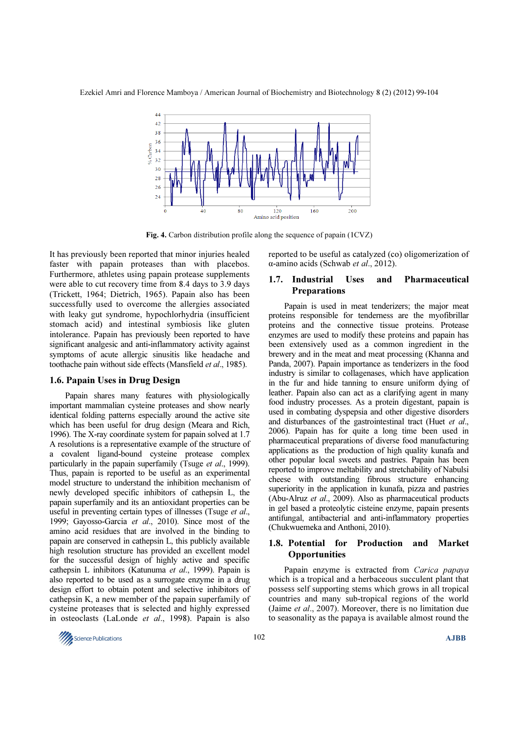Ezekiel Amri and Florence Mamboya / American Journal of Biochemistry and Biotechnology 8 (2) (2012) 99-104



Fig. 4. Carbon distribution profile along the sequence of papain (1CVZ)

It has previously been reported that minor injuries healed faster with papain proteases than with placebos. Furthermore, athletes using papain protease supplements were able to cut recovery time from 8.4 days to 3.9 days (Trickett, 1964; Dietrich, 1965). Papain also has been successfully used to overcome the allergies associated with leaky gut syndrome, hypochlorhydria (insufficient stomach acid) and intestinal symbiosis like gluten intolerance. Papain has previously been reported to have significant analgesic and anti-inflammatory activity against symptoms of acute allergic sinusitis like headache and toothache pain without side effects (Mansfield et al., 1985).

#### 1.6. Papain Uses in Drug Design

 Papain shares many features with physiologically important mammalian cysteine proteases and show nearly identical folding patterns especially around the active site which has been useful for drug design (Meara and Rich, 1996). The X-ray coordinate system for papain solved at 1.7 A resolutions is a representative example of the structure of a covalent ligand-bound cysteine protease complex particularly in the papain superfamily (Tsuge *et al.*, 1999). Thus, papain is reported to be useful as an experimental model structure to understand the inhibition mechanism of newly developed specific inhibitors of cathepsin L, the papain superfamily and its an antioxidant properties can be useful in preventing certain types of illnesses (Tsuge et al., 1999; Gayosso-Garcia et al., 2010). Since most of the amino acid residues that are involved in the binding to papain are conserved in cathepsin L, this publicly available high resolution structure has provided an excellent model for the successful design of highly active and specific cathepsin L inhibitors (Katunuma et al., 1999). Papain is also reported to be used as a surrogate enzyme in a drug design effort to obtain potent and selective inhibitors of cathepsin K, a new member of the papain superfamily of cysteine proteases that is selected and highly expressed in osteoclasts (LaLonde et al., 1998). Papain is also

reported to be useful as catalyzed (co) oligomerization of α-amino acids (Schwab et al., 2012).

## 1.7. Industrial Uses and Pharmaceutical Preparations

 Papain is used in meat tenderizers; the major meat proteins responsible for tenderness are the myofibrillar proteins and the connective tissue proteins. Protease enzymes are used to modify these proteins and papain has been extensively used as a common ingredient in the brewery and in the meat and meat processing (Khanna and Panda, 2007). Papain importance as tenderizers in the food industry is similar to collagenases, which have application in the fur and hide tanning to ensure uniform dying of leather. Papain also can act as a clarifying agent in many food industry processes. As a protein digestant, papain is used in combating dyspepsia and other digestive disorders and disturbances of the gastrointestinal tract (Huet et al., 2006). Papain has for quite a long time been used in pharmaceutical preparations of diverse food manufacturing applications as the production of high quality kunafa and other popular local sweets and pastries. Papain has been reported to improve meltability and stretchability of Nabulsi cheese with outstanding fibrous structure enhancing superiority in the application in kunafa, pizza and pastries (Abu-Alruz et al., 2009). Also as pharmaceutical products in gel based a proteolytic cisteine enzyme, papain presents antifungal, antibacterial and anti-inflammatory properties (Chukwuemeka and Anthoni, 2010).

## 1.8. Potential for Production and Market **Opportunities**

Papain enzyme is extracted from Carica papaya which is a tropical and a herbaceous succulent plant that possess self supporting stems which grows in all tropical countries and many sub-tropical regions of the world (Jaime et al., 2007). Moreover, there is no limitation due to seasonality as the papaya is available almost round the

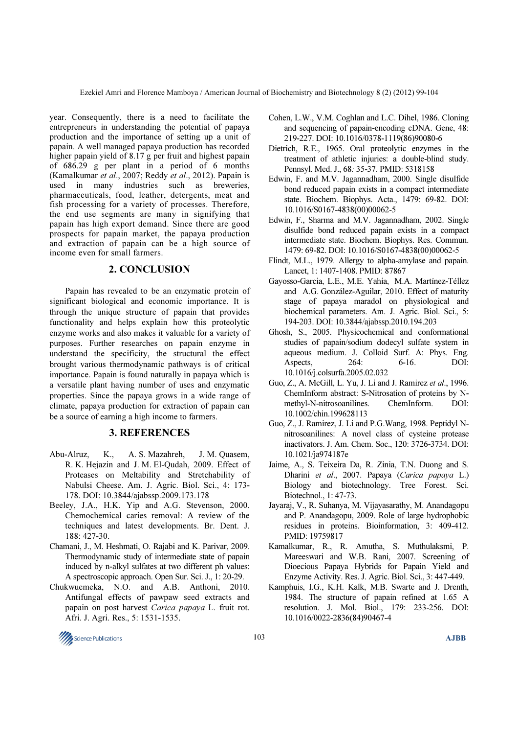Ezekiel Amri and Florence Mamboya / American Journal of Biochemistry and Biotechnology 8 (2) (2012) 99-104

year. Consequently, there is a need to facilitate the entrepreneurs in understanding the potential of papaya production and the importance of setting up a unit of papain. A well managed papaya production has recorded higher papain yield of 8.17 g per fruit and highest papain of 686.29 g per plant in a period of 6 months (Kamalkumar et al., 2007; Reddy et al., 2012). Papain is used in many industries such as breweries, pharmaceuticals, food, leather, detergents, meat and fish processing for a variety of processes. Therefore, the end use segments are many in signifying that papain has high export demand. Since there are good prospects for papain market, the papaya production and extraction of papain can be a high source of income even for small farmers.

### 2. CONCLUSION

 Papain has revealed to be an enzymatic protein of significant biological and economic importance. It is through the unique structure of papain that provides functionality and helps explain how this proteolytic enzyme works and also makes it valuable for a variety of purposes. Further researches on papain enzyme in understand the specificity, the structural the effect brought various thermodynamic pathways is of critical importance. Papain is found naturally in papaya which is a versatile plant having number of uses and enzymatic properties. Since the papaya grows in a wide range of climate, papaya production for extraction of papain can be a source of earning a high income to farmers.

## 3. REFERENCES

- Abu-Alruz, K., A. S. Mazahreh, J. M. Quasem, R. K. Hejazin and J. M. El-Qudah, 2009. Effect of Proteases on Meltability and Stretchability of Nabulsi Cheese. Am. J. Agric. Biol. Sci., 4: 173- 178. DOI: 10.3844/ajabssp.2009.173.178
- Beeley, J.A., H.K. Yip and A.G. Stevenson, 2000. Chemochemical caries removal: A review of the techniques and latest developments. Br. Dent. J. 188: 427-30.
- Chamani, J., M. Heshmati, O. Rajabi and K. Parivar, 2009. Thermodynamic study of intermediate state of papain induced by n-alkyl sulfates at two different ph values: A spectroscopic approach. Open Sur. Sci. J., 1: 20-29.
- Chukwuemeka, N.O. and A.B. Anthoni, 2010. Antifungal effects of pawpaw seed extracts and papain on post harvest Carica papaya L. fruit rot. Afri. J. Agri. Res., 5: 1531-1535.
- Cohen, L.W., V.M. Coghlan and L.C. Dihel, 1986. Cloning and sequencing of papain-encoding cDNA. Gene, 48: 219-227. DOI: 10.1016/0378-1119(86)90080-6
- Dietrich, R.E., 1965. Oral proteolytic enzymes in the treatment of athletic injuries: a double-blind study. Pennsyl. Med. J., 68: 35-37. PMID: 5318158
- Edwin, F. and M.V. Jagannadham, 2000. Single disulfide bond reduced papain exists in a compact intermediate state. Biochem. Biophys. Acta., 1479: 69-82. DOI: 10.1016/S0167-4838(00)00062-5
- Edwin, F., Sharma and M.V. Jagannadham, 2002. Single disulfide bond reduced papain exists in a compact intermediate state. Biochem. Biophys. Res. Commun. 1479: 69-82. DOI: 10.1016/S0167-4838(00)00062-5
- Flindt, M.L., 1979. Allergy to alpha-amylase and papain. Lancet, 1: 1407-1408. PMID: 87867
- Gayosso-Garcia, L.E., M.E. Yahia, M.A. Martínez-Téllez and A.G. González-Aguilar, 2010. Effect of maturity stage of papaya maradol on physiological and biochemical parameters. Am. J. Agric. Biol. Sci., 5: 194-203. DOI: 10.3844/ajabssp.2010.194.203
- Ghosh, S., 2005. Physicochemical and conformational studies of papain/sodium dodecyl sulfate system in aqueous medium. J. Colloid Surf. A: Phys. Eng. Aspects, 264: 6-16. DOI: 10.1016/j.colsurfa.2005.02.032
- Guo, Z., A. McGill, L. Yu, J. Li and J. Ramirez et al., 1996. ChemInform abstract: S-Nitrosation of proteins by Nmethyl-N-nitrosoanilines. ChemInform. DOI: 10.1002/chin.199628113
- Guo, Z., J. Ramirez, J. Li and P.G.Wang, 1998. Peptidyl Nnitrosoanilines: A novel class of cysteine protease inactivators. J. Am. Chem. Soc., 120: 3726-3734. DOI: 10.1021/ja974187e
- Jaime, A., S. Teixeira Da, R. Zinia, T.N. Duong and S. Dharini et al., 2007. Papaya (Carica papaya L.) Biology and biotechnology. Tree Forest. Sci. Biotechnol., 1: 47-73.
- Jayaraj, V., R. Suhanya, M. Vijayasarathy, M. Anandagopu and P. Anandagopu, 2009. Role of large hydrophobic residues in proteins. Bioinformation, 3: 409-412. PMID: 19759817
- Kamalkumar, R., R. Amutha, S. Muthulaksmi, P. Mareeswari and W.B. Rani, 2007. Screening of Dioecious Papaya Hybrids for Papain Yield and Enzyme Activity. Res. J. Agric. Biol. Sci., 3: 447-449.
- Kamphuis, I.G., K.H. Kalk, M.B. Swarte and J. Drenth, 1984. The structure of papain refined at 1.65 A resolution. J. Mol. Biol., 179: 233-256. DOI: 10.1016/0022-2836(84)90467-4